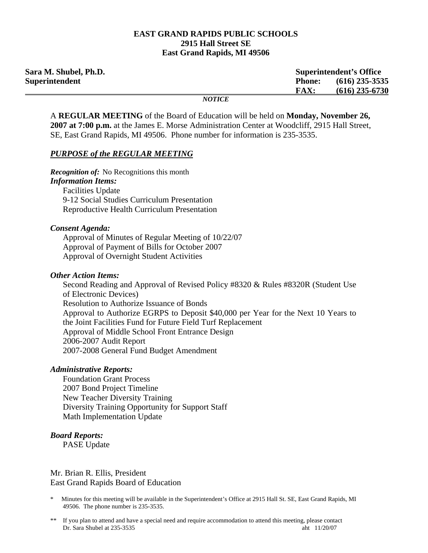#### **EAST GRAND RAPIDS PUBLIC SCHOOLS 2915 Hall Street SE East Grand Rapids, MI 49506**

| Sara M. Shubel, Ph.D. |               | <b>Superintendent's Office</b> |  |
|-----------------------|---------------|--------------------------------|--|
| Superintendent        | <b>Phone:</b> | $(616)$ 235-3535               |  |
|                       | <b>FAX:</b>   | $(616)$ 235-6730               |  |
|                       | <i>NOTICE</i> |                                |  |

A **REGULAR MEETING** of the Board of Education will be held on **Monday, November 26, 2007 at 7:00 p.m.** at the James E. Morse Administration Center at Woodcliff, 2915 Hall Street, SE, East Grand Rapids, MI 49506. Phone number for information is 235-3535.

#### *PURPOSE of the REGULAR MEETING*

*Recognition of:* No Recognitions this month *Information Items:* Facilities Update 9-12 Social Studies Curriculum Presentation Reproductive Health Curriculum Presentation

#### *Consent Agenda:*

 Approval of Minutes of Regular Meeting of 10/22/07 Approval of Payment of Bills for October 2007 Approval of Overnight Student Activities

#### *Other Action Items:*

Second Reading and Approval of Revised Policy #8320 & Rules #8320R (Student Use of Electronic Devices) Resolution to Authorize Issuance of Bonds Approval to Authorize EGRPS to Deposit \$40,000 per Year for the Next 10 Years to the Joint Facilities Fund for Future Field Turf Replacement Approval of Middle School Front Entrance Design 2006-2007 Audit Report 2007-2008 General Fund Budget Amendment

#### *Administrative Reports:*

**Foundation Grant Process**  2007 Bond Project Timeline New Teacher Diversity Training Diversity Training Opportunity for Support Staff Math Implementation Update

## *Board Reports:*

PASE Update

### Mr. Brian R. Ellis, President East Grand Rapids Board of Education

- \* Minutes for this meeting will be available in the Superintendent's Office at 2915 Hall St. SE, East Grand Rapids, MI 49506. The phone number is 235-3535.
- \*\* If you plan to attend and have a special need and require accommodation to attend this meeting, please contact Dr. Sara Shubel at 235-3535 aht 11/20/07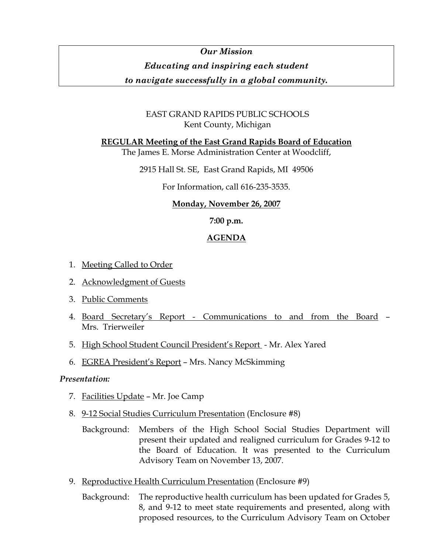# *Our Mission Educating and inspiring each student*

*to navigate successfully in a global community.* 

# EAST GRAND RAPIDS PUBLIC SCHOOLS Kent County, Michigan

**REGULAR Meeting of the East Grand Rapids Board of Education**

The James E. Morse Administration Center at Woodcliff,

2915 Hall St. SE, East Grand Rapids, MI 49506

For Information, call 616-235-3535.

# **Monday, November 26, 2007**

**7:00 p.m.** 

# **AGENDA**

- 1. Meeting Called to Order
- 2. Acknowledgment of Guests
- 3. Public Comments
- 4. Board Secretary's Report Communications to and from the Board Mrs. Trierweiler
- 5. High School Student Council President's Report Mr. Alex Yared
- 6. EGREA President's Report Mrs. Nancy McSkimming

## *Presentation:*

- 7. Facilities Update Mr. Joe Camp
- 8. 9-12 Social Studies Curriculum Presentation (Enclosure #8)
	- Background: Members of the High School Social Studies Department will present their updated and realigned curriculum for Grades 9-12 to the Board of Education. It was presented to the Curriculum Advisory Team on November 13, 2007.
- 9. Reproductive Health Curriculum Presentation (Enclosure #9)
	- Background: The reproductive health curriculum has been updated for Grades 5, 8, and 9-12 to meet state requirements and presented, along with proposed resources, to the Curriculum Advisory Team on October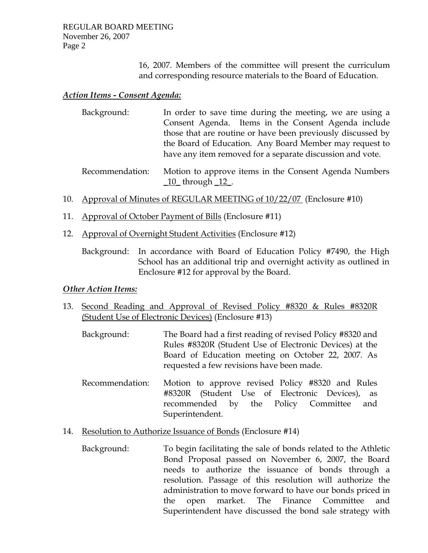16, 2007. Members of the committee will present the curriculum and corresponding resource materials to the Board of Education.

# *Action Items - Consent Agenda:*

| Background: | In order to save time during the meeting, we are using a    |
|-------------|-------------------------------------------------------------|
|             | Consent Agenda. Items in the Consent Agenda include         |
|             | those that are routine or have been previously discussed by |
|             | the Board of Education. Any Board Member may request to     |
|             | have any item removed for a separate discussion and vote.   |

- Recommendation: Motion to approve items in the Consent Agenda Numbers \_10\_ through \_12\_.
- 10. Approval of Minutes of REGULAR MEETING of 10/22/07 (Enclosure #10)
- 11. Approval of October Payment of Bills (Enclosure #11)
- 12. Approval of Overnight Student Activities (Enclosure #12)
	- Background: In accordance with Board of Education Policy #7490, the High School has an additional trip and overnight activity as outlined in Enclosure #12 for approval by the Board.

## *Other Action Items:*

- 13. Second Reading and Approval of Revised Policy #8320 & Rules #8320R (Student Use of Electronic Devices) (Enclosure #13)
	- Background: The Board had a first reading of revised Policy #8320 and Rules #8320R (Student Use of Electronic Devices) at the Board of Education meeting on October 22, 2007. As requested a few revisions have been made.
	- Recommendation: Motion to approve revised Policy #8320 and Rules #8320R (Student Use of Electronic Devices), as recommended by the Policy Committee and Superintendent.
- 14. Resolution to Authorize Issuance of Bonds (Enclosure #14)
	- Background: To begin facilitating the sale of bonds related to the Athletic Bond Proposal passed on November 6, 2007, the Board needs to authorize the issuance of bonds through a resolution. Passage of this resolution will authorize the administration to move forward to have our bonds priced in the open market. The Finance Committee and Superintendent have discussed the bond sale strategy with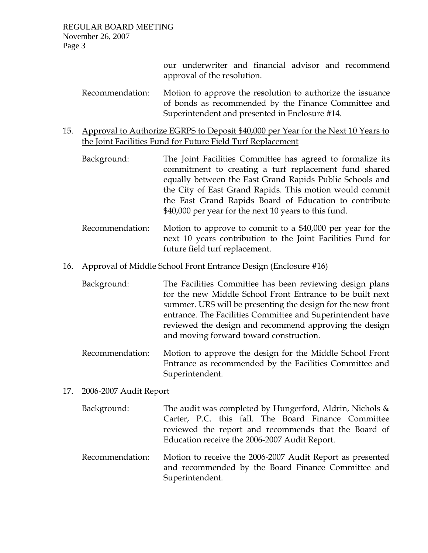our underwriter and financial advisor and recommend approval of the resolution.

- Recommendation: Motion to approve the resolution to authorize the issuance of bonds as recommended by the Finance Committee and Superintendent and presented in Enclosure #14.
- 15. Approval to Authorize EGRPS to Deposit \$40,000 per Year for the Next 10 Years to the Joint Facilities Fund for Future Field Turf Replacement
	- Background: The Joint Facilities Committee has agreed to formalize its commitment to creating a turf replacement fund shared equally between the East Grand Rapids Public Schools and the City of East Grand Rapids. This motion would commit the East Grand Rapids Board of Education to contribute \$40,000 per year for the next 10 years to this fund.
	- Recommendation: Motion to approve to commit to a \$40,000 per year for the next 10 years contribution to the Joint Facilities Fund for future field turf replacement.
- 16. Approval of Middle School Front Entrance Design (Enclosure #16)
	- Background: The Facilities Committee has been reviewing design plans for the new Middle School Front Entrance to be built next summer. URS will be presenting the design for the new front entrance. The Facilities Committee and Superintendent have reviewed the design and recommend approving the design and moving forward toward construction.
	- Recommendation: Motion to approve the design for the Middle School Front Entrance as recommended by the Facilities Committee and Superintendent.

## 17. 2006-2007 Audit Report

- Background: The audit was completed by Hungerford, Aldrin, Nichols & Carter, P.C. this fall. The Board Finance Committee reviewed the report and recommends that the Board of Education receive the 2006-2007 Audit Report.
- Recommendation: Motion to receive the 2006-2007 Audit Report as presented and recommended by the Board Finance Committee and Superintendent.